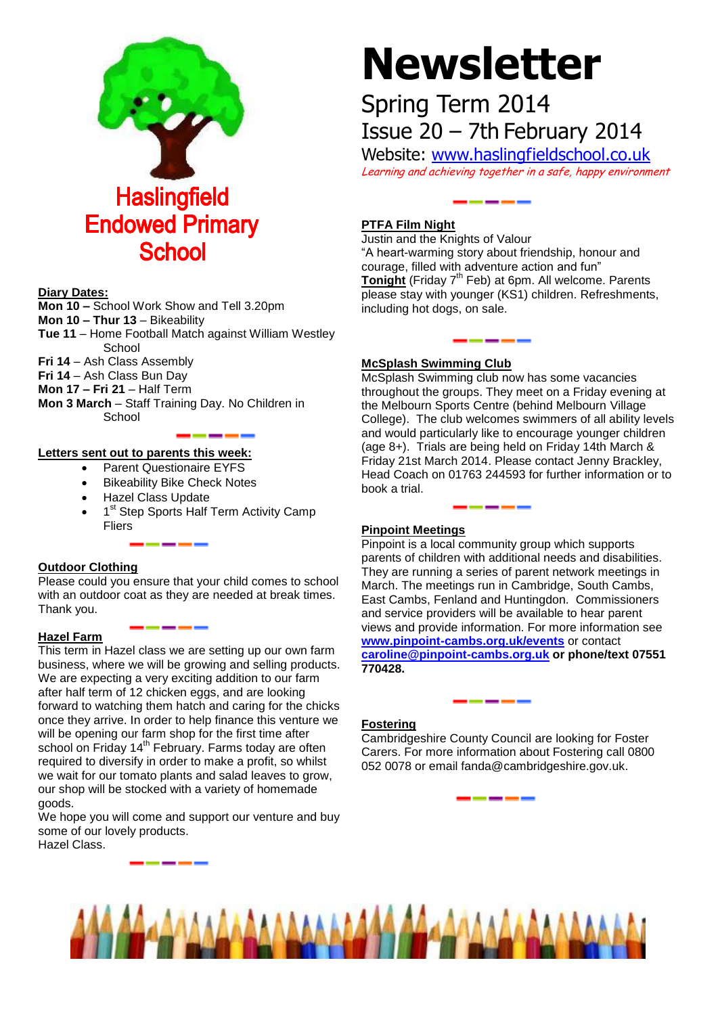

#### **Diary Dates:**

**Mon 10 –** School Work Show and Tell 3.20pm **Mon 10 – Thur 13** – Bikeability **Tue 11** – Home Football Match against William Westley **School Fri 14** – Ash Class Assembly **Fri 14** – Ash Class Bun Day **Mon 17 – Fri 21** – Half Term **Mon 3 March** – Staff Training Day. No Children in **School** 

### **Letters sent out to parents this week:**

- Parent Questionaire EYFS
- Bikeability Bike Check Notes
- Hazel Class Update
- 1<sup>st</sup> Step Sports Half Term Activity Camp **Fliers**

# **Outdoor Clothing**

Please could you ensure that your child comes to school with an outdoor coat as they are needed at break times. Thank you.

# **Hazel Farm**

This term in Hazel class we are setting up our own farm business, where we will be growing and selling products. We are expecting a very exciting addition to our farm after half term of 12 chicken eggs, and are looking forward to watching them hatch and caring for the chicks once they arrive. In order to help finance this venture we will be opening our farm shop for the first time after school on Friday  $14<sup>th</sup>$  February. Farms today are often required to diversify in order to make a profit, so whilst we wait for our tomato plants and salad leaves to grow, our shop will be stocked with a variety of homemade goods.

We hope you will come and support our venture and buy some of our lovely products.

Hazel Class.

# **Newsletter**

# Spring Term 2014 Issue 20 – 7th February 2014

Website: [www.haslingfieldschool.co.uk](http://www.haslingfieldschool.co.uk/) Learning and achieving together in a safe, happy environment

# **PTFA Film Night**

Justin and the Knights of Valour "A heart-warming story about friendship, honour and courage, filled with adventure action and fun" Tonight<sup> (Friday 7<sup>th</sup> Feb) at 6pm. All welcome. Parents</sup> please stay with younger (KS1) children. Refreshments, including hot dogs, on sale.

# **McSplash Swimming Club**

McSplash Swimming club now has some vacancies throughout the groups. They meet on a Friday evening at the Melbourn Sports Centre (behind Melbourn Village College). The club welcomes swimmers of all ability levels and would particularly like to encourage younger children (age 8+). Trials are being held on Friday 14th March & Friday 21st March 2014. Please contact Jenny Brackley, Head Coach on 01763 244593 for further information or to book a trial.

# **Pinpoint Meetings**

Pinpoint is a local community group which supports parents of children with additional needs and disabilities. They are running a series of parent network meetings in March. The meetings run in Cambridge, South Cambs, East Cambs, Fenland and Huntingdon. Commissioners and service providers will be available to hear parent views and provide information. For more information see **[www.pinpoint-cambs.org.uk/events](http://www.pinpoint-cambs.org.uk/events)** or contact **[caroline@pinpoint-cambs.org.uk](mailto:caroline@pinpoint-cambs.org.uk) or phone/text 07551 770428.**

# **Fostering**

Cambridgeshire County Council are looking for Foster Carers. For more information about Fostering call 0800 052 0078 or email fanda@cambridgeshire.gov.uk.